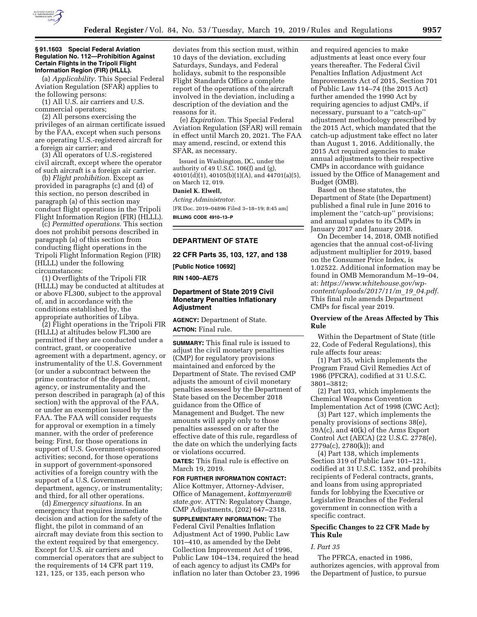

## **§ 91.1603 Special Federal Aviation Regulation No. 112—Prohibition Against Certain Flights in the Tripoli Flight Information Region (FIR) (HLLL).**

(a) *Applicability.* This Special Federal Aviation Regulation (SFAR) applies to the following persons:

(1) All U.S. air carriers and U.S. commercial operators;

(2) All persons exercising the privileges of an airman certificate issued by the FAA, except when such persons are operating U.S.-registered aircraft for a foreign air carrier; and

(3) All operators of U.S.-registered civil aircraft, except where the operator of such aircraft is a foreign air carrier.

(b) *Flight prohibition.* Except as provided in paragraphs (c) and (d) of this section, no person described in paragraph (a) of this section may conduct flight operations in the Tripoli Flight Information Region (FIR) (HLLL).

(c) *Permitted operations.* This section does not prohibit persons described in paragraph (a) of this section from conducting flight operations in the Tripoli Flight Information Region (FIR) (HLLL) under the following circumstances:

(1) Overflights of the Tripoli FIR (HLLL) may be conducted at altitudes at or above FL300, subject to the approval of, and in accordance with the conditions established by, the appropriate authorities of Libya.

(2) Flight operations in the Tripoli FIR (HLLL) at altitudes below FL300 are permitted if they are conducted under a contract, grant, or cooperative agreement with a department, agency, or instrumentality of the U.S. Government (or under a subcontract between the prime contractor of the department, agency, or instrumentality and the person described in paragraph (a) of this section) with the approval of the FAA, or under an exemption issued by the FAA. The FAA will consider requests for approval or exemption in a timely manner, with the order of preference being: First, for those operations in support of U.S. Government-sponsored activities; second, for those operations in support of government-sponsored activities of a foreign country with the support of a U.S. Government department, agency, or instrumentality; and third, for all other operations.

(d) *Emergency situations.* In an emergency that requires immediate decision and action for the safety of the flight, the pilot in command of an aircraft may deviate from this section to the extent required by that emergency. Except for U.S. air carriers and commercial operators that are subject to the requirements of 14 CFR part 119, 121, 125, or 135, each person who

deviates from this section must, within 10 days of the deviation, excluding Saturdays, Sundays, and Federal holidays, submit to the responsible Flight Standards Office a complete report of the operations of the aircraft involved in the deviation, including a description of the deviation and the reasons for it.

(e) *Expiration.* This Special Federal Aviation Regulation (SFAR) will remain in effect until March 20, 2021. The FAA may amend, rescind, or extend this SFAR, as necessary.

Issued in Washington, DC, under the authority of 49 U.S.C.  $106(f)$  and  $(g)$ , 40101(d)(1), 40105(b)(1)(A), and 44701(a)(5), on March 12, 019.

## **Daniel K. Elwell,**

*Acting Administrator.*  [FR Doc. 2019–04896 Filed 3–18–19; 8:45 am] **BILLING CODE 4910–13–P** 

# **DEPARTMENT OF STATE**

**22 CFR Parts 35, 103, 127, and 138** 

**[Public Notice 10692]** 

**RIN 1400–AE75** 

# **Department of State 2019 Civil Monetary Penalties Inflationary Adjustment**

**AGENCY:** Department of State. **ACTION:** Final rule.

**SUMMARY:** This final rule is issued to adjust the civil monetary penalties (CMP) for regulatory provisions maintained and enforced by the Department of State. The revised CMP adjusts the amount of civil monetary penalties assessed by the Department of State based on the December 2018 guidance from the Office of Management and Budget. The new amounts will apply only to those penalties assessed on or after the effective date of this rule, regardless of the date on which the underlying facts or violations occurred.

**DATES:** This final rule is effective on March 19, 2019.

**FOR FURTHER INFORMATION CONTACT:**  Alice Kottmyer, Attorney-Adviser,

Office of Management, *[kottmyeram@](mailto:kottmyeram@state.gov) [state.gov.](mailto:kottmyeram@state.gov)* ATTN: Regulatory Change, CMP Adjustments, (202) 647–2318.

**SUPPLEMENTARY INFORMATION:** The Federal Civil Penalties Inflation Adjustment Act of 1990, Public Law 101–410, as amended by the Debt Collection Improvement Act of 1996, Public Law 104–134, required the head of each agency to adjust its CMPs for inflation no later than October 23, 1996 and required agencies to make adjustments at least once every four years thereafter. The Federal Civil Penalties Inflation Adjustment Act Improvements Act of 2015, Section 701 of Public Law 114–74 (the 2015 Act) further amended the 1990 Act by requiring agencies to adjust CMPs, if necessary, pursuant to a ''catch-up'' adjustment methodology prescribed by the 2015 Act, which mandated that the catch-up adjustment take effect no later than August 1, 2016. Additionally, the 2015 Act required agencies to make annual adjustments to their respective CMPs in accordance with guidance issued by the Office of Management and Budget (OMB).

Based on these statutes, the Department of State (the Department) published a final rule in June 2016 to implement the ''catch-up'' provisions; and annual updates to its CMPs in January 2017 and January 2018.

On December 14, 2018, OMB notified agencies that the annual cost-of-living adjustment multiplier for 2019, based on the Consumer Price Index, is 1.02522. Additional information may be found in OMB Memorandum M–19–04, at: *[https://www.whitehouse.gov/wp](https://www.whitehouse.gov/wp-content/uploads/2017/11/m_19_04.pdf)[content/uploads/2017/11/m](https://www.whitehouse.gov/wp-content/uploads/2017/11/m_19_04.pdf)*\_*19*\_*04.pdf.*  This final rule amends Department CMPs for fiscal year 2019.

## **Overview of the Areas Affected by This Rule**

Within the Department of State (title 22, Code of Federal Regulations), this rule affects four areas:

(1) Part 35, which implements the Program Fraud Civil Remedies Act of 1986 (PFCRA), codified at 31 U.S.C. 3801–3812;

(2) Part 103, which implements the Chemical Weapons Convention Implementation Act of 1998 (CWC Act);

(3) Part 127, which implements the penalty provisions of sections 38(e), 39A(c), and 40(k) of the Arms Export Control Act (AECA) (22 U.S.C. 2778(e), 2779a(c), 2780(k)); and

(4) Part 138, which implements Section 319 of Public Law 101–121, codified at 31 U.S.C. 1352, and prohibits recipients of Federal contracts, grants, and loans from using appropriated funds for lobbying the Executive or Legislative Branches of the Federal government in connection with a specific contract.

# **Specific Changes to 22 CFR Made by This Rule**

### *I. Part 35*

The PFRCA, enacted in 1986, authorizes agencies, with approval from the Department of Justice, to pursue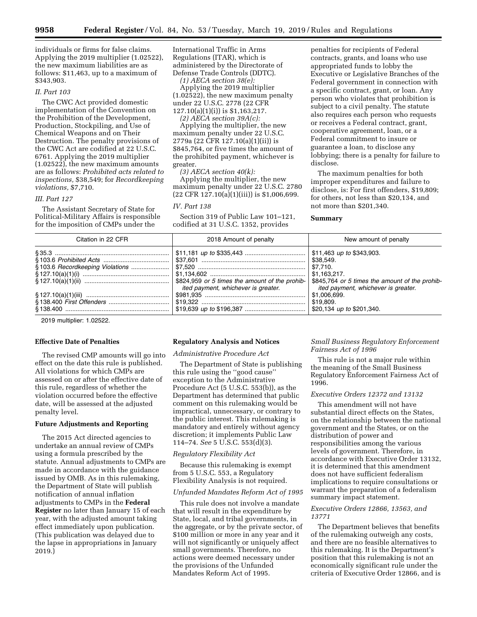individuals or firms for false claims. Applying the 2019 multiplier (1.02522), the new maximum liabilities are as follows: \$11,463, up to a maximum of \$343,903.

## *II. Part 103*

The CWC Act provided domestic implementation of the Convention on the Prohibition of the Development, Production, Stockpiling, and Use of Chemical Weapons and on Their Destruction. The penalty provisions of the CWC Act are codified at 22 U.S.C. 6761. Applying the 2019 multiplier (1.02522), the new maximum amounts are as follows: *Prohibited acts related to inspections,* \$38,549; for *Recordkeeping violations,* \$7,710.

#### *III. Part 127*

The Assistant Secretary of State for Political-Military Affairs is responsible for the imposition of CMPs under the

International Traffic in Arms Regulations (ITAR), which is administered by the Directorate of Defense Trade Controls (DDTC).

*(1) AECA section 38(e):* 

Applying the 2019 multiplier (1.02522), the new maximum penalty under 22 U.S.C. 2778 (22 CFR 127.10(a)(1)(i)) is \$1,163,217.

*(2) AECA section 39A(c):*  Applying the multiplier, the new maximum penalty under 22 U.S.C. 2779a (22 CFR 127.10(a)(1)(ii)) is \$845,764, or five times the amount of the prohibited payment, whichever is greater.

*(3) AECA section 40(k):* 

Applying the multiplier, the new maximum penalty under 22 U.S.C. 2780  $(22 \text{ CFR } 127.10(a)(1)(iii))$  is \$1,006,699.

# *IV. Part 138*

Section 319 of Public Law 101–121, codified at 31 U.S.C. 1352, provides

penalties for recipients of Federal contracts, grants, and loans who use appropriated funds to lobby the Executive or Legislative Branches of the Federal government in connection with a specific contract, grant, or loan. Any person who violates that prohibition is subject to a civil penalty. The statute also requires each person who requests or receives a Federal contract, grant, cooperative agreement, loan, or a Federal commitment to insure or guarantee a loan, to disclose any lobbying; there is a penalty for failure to disclose.

The maximum penalties for both improper expenditures and failure to disclose, is: For first offenders, \$19,809; for others, not less than \$20,134, and not more than \$201,340.

## **Summary**

| Citation in 22 CFR | 2018 Amount of penalty              | New amount of penalty                                                                                                |
|--------------------|-------------------------------------|----------------------------------------------------------------------------------------------------------------------|
|                    |                                     | \$11,463 up to \$343,903.<br>\$38,549.<br>\$7,710.<br>\$1,163,217.<br>\$845,764 or 5 times the amount of the prohib- |
|                    | ited payment, whichever is greater. | ited payment, whichever is greater.<br>\$1,006,699.<br>\$19,809.<br>\$20,134 up to \$201,340.                        |

2019 multiplier: 1.02522.

## **Effective Date of Penalties**

The revised CMP amounts will go into effect on the date this rule is published. All violations for which CMPs are assessed on or after the effective date of this rule, regardless of whether the violation occurred before the effective date, will be assessed at the adjusted penalty level.

## **Future Adjustments and Reporting**

The 2015 Act directed agencies to undertake an annual review of CMPs using a formula prescribed by the statute. Annual adjustments to CMPs are made in accordance with the guidance issued by OMB. As in this rulemaking, the Department of State will publish notification of annual inflation adjustments to CMPs in the **Federal Register** no later than January 15 of each year, with the adjusted amount taking effect immediately upon publication. (This publication was delayed due to the lapse in appropriations in January 2019.)

# **Regulatory Analysis and Notices**

*Administrative Procedure Act* 

The Department of State is publishing this rule using the ''good cause'' exception to the Administrative Procedure Act (5 U.S.C. 553(b)), as the Department has determined that public comment on this rulemaking would be impractical, unnecessary, or contrary to the public interest. This rulemaking is mandatory and entirely without agency discretion; it implements Public Law 114–74. *See* 5 U.S.C. 553(d)(3).

### *Regulatory Flexibility Act*

Because this rulemaking is exempt from 5 U.S.C. 553, a Regulatory Flexibility Analysis is not required.

## *Unfunded Mandates Reform Act of 1995*

This rule does not involve a mandate that will result in the expenditure by State, local, and tribal governments, in the aggregate, or by the private sector, of \$100 million or more in any year and it will not significantly or uniquely affect small governments. Therefore, no actions were deemed necessary under the provisions of the Unfunded Mandates Reform Act of 1995.

*Small Business Regulatory Enforcement Fairness Act of 1996* 

This rule is not a major rule within the meaning of the Small Business Regulatory Enforcement Fairness Act of 1996.

## *Executive Orders 12372 and 13132*

This amendment will not have substantial direct effects on the States, on the relationship between the national government and the States, or on the distribution of power and responsibilities among the various levels of government. Therefore, in accordance with Executive Order 13132, it is determined that this amendment does not have sufficient federalism implications to require consultations or warrant the preparation of a federalism summary impact statement.

## *Executive Orders 12866, 13563, and 13771*

The Department believes that benefits of the rulemaking outweigh any costs, and there are no feasible alternatives to this rulemaking. It is the Department's position that this rulemaking is not an economically significant rule under the criteria of Executive Order 12866, and is